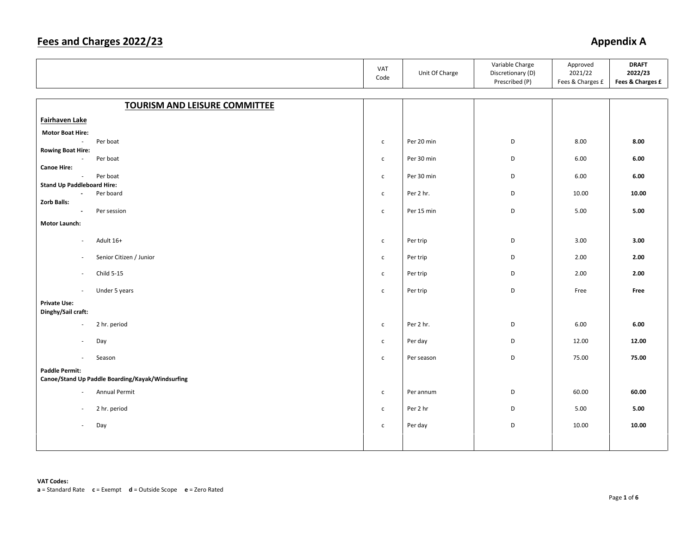### **Fees and Charges 2022/23** Appendix A

|                                                     |                                                  | VAT<br>Code  | Unit Of Charge | Variable Charge<br>Discretionary (D)<br>Prescribed (P) | Approved<br>2021/22<br>Fees & Charges £ | <b>DRAFT</b><br>2022/23<br>Fees & Charges £ |
|-----------------------------------------------------|--------------------------------------------------|--------------|----------------|--------------------------------------------------------|-----------------------------------------|---------------------------------------------|
|                                                     |                                                  |              |                |                                                        |                                         |                                             |
|                                                     | <b>TOURISM AND LEISURE COMMITTEE</b>             |              |                |                                                        |                                         |                                             |
| Fairhaven Lake                                      |                                                  |              |                |                                                        |                                         |                                             |
| <b>Motor Boat Hire:</b>                             |                                                  |              |                |                                                        |                                         |                                             |
| $\sim$                                              | Per boat                                         | $\mathsf{C}$ | Per 20 min     | D                                                      | 8.00                                    | 8.00                                        |
| <b>Rowing Boat Hire:</b><br>$\sim$                  | Per boat                                         | $\mathsf{c}$ | Per 30 min     | D                                                      | 6.00                                    | 6.00                                        |
| <b>Canoe Hire:</b>                                  |                                                  |              |                |                                                        |                                         |                                             |
| $\sim$                                              | Per boat                                         | $\mathsf{c}$ | Per 30 min     | D                                                      | 6.00                                    | 6.00                                        |
| <b>Stand Up Paddleboard Hire:</b><br>$\blacksquare$ | Per board                                        | $\mathsf{C}$ | Per 2 hr.      | D                                                      | 10.00                                   | 10.00                                       |
| <b>Zorb Balls:</b>                                  |                                                  |              |                |                                                        |                                         |                                             |
| $\blacksquare$                                      | Per session                                      | $\mathsf{C}$ | Per 15 min     | D                                                      | 5.00                                    | 5.00                                        |
| <b>Motor Launch:</b>                                |                                                  |              |                |                                                        |                                         |                                             |
| $\overline{\phantom{a}}$                            | Adult 16+                                        | $\mathsf{C}$ | Per trip       | D                                                      | 3.00                                    | 3.00                                        |
| $\sim$                                              | Senior Citizen / Junior                          | $\mathsf{c}$ | Per trip       | D                                                      | 2.00                                    | 2.00                                        |
| $\sim$                                              | Child 5-15                                       | $\mathsf{C}$ | Per trip       | D                                                      | 2.00                                    | 2.00                                        |
| $\mathcal{L}_{\mathcal{A}}$                         | Under 5 years                                    | $\mathsf{c}$ | Per trip       | D                                                      | Free                                    | Free                                        |
| <b>Private Use:</b><br>Dinghy/Sail craft:           |                                                  |              |                |                                                        |                                         |                                             |
| $\overline{\phantom{a}}$                            | 2 hr. period                                     | $\mathsf{C}$ | Per 2 hr.      | D                                                      | 6.00                                    | 6.00                                        |
| $\overline{\phantom{a}}$                            | Day                                              | $\mathsf{C}$ | Per day        | D                                                      | 12.00                                   | 12.00                                       |
| $\sim$                                              | Season                                           | $\mathsf{c}$ | Per season     | D                                                      | 75.00                                   | 75.00                                       |
| <b>Paddle Permit:</b>                               | Canoe/Stand Up Paddle Boarding/Kayak/Windsurfing |              |                |                                                        |                                         |                                             |
| $\sim$                                              | Annual Permit                                    | $\mathsf{C}$ | Per annum      | D                                                      | 60.00                                   | 60.00                                       |
| $\overline{\phantom{a}}$                            | 2 hr. period                                     | $\mathsf{C}$ | Per 2 hr       | D                                                      | 5.00                                    | 5.00                                        |
| $\overline{\phantom{a}}$                            | Day                                              | $\mathsf{C}$ | Per day        | D                                                      | 10.00                                   | 10.00                                       |
|                                                     |                                                  |              |                |                                                        |                                         |                                             |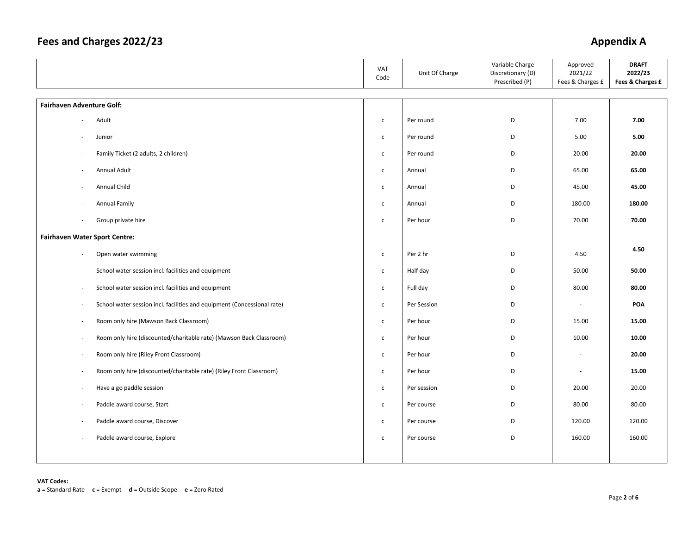### Fees and Charges 2022/23

# **Appendix A**

|                                                                                                     | VAT<br>Code  | Unit Of Charge | Variable Charge<br>Discretionary (D)<br>Prescribed (P) | Approved<br>2021/22<br>Fees & Charges £ | <b>DRAFT</b><br>2022/23<br>Fees & Charges £ |
|-----------------------------------------------------------------------------------------------------|--------------|----------------|--------------------------------------------------------|-----------------------------------------|---------------------------------------------|
| <b>Fairhaven Adventure Golf:</b>                                                                    |              |                |                                                        |                                         |                                             |
| Adult                                                                                               | $\mathsf{C}$ | Per round      | D                                                      | 7.00                                    | 7.00                                        |
| Junior<br>$\sim$                                                                                    | $\mathsf{C}$ | Per round      | D                                                      | 5.00                                    | 5.00                                        |
| Family Ticket (2 adults, 2 children)<br>$\overline{\phantom{a}}$                                    | $\mathsf{C}$ | Per round      | D                                                      | 20.00                                   | 20.00                                       |
| Annual Adult<br>$\bar{a}$                                                                           | $\mathsf{C}$ | Annual         | D                                                      | 65.00                                   | 65.00                                       |
| Annual Child                                                                                        | $\mathsf{C}$ | Annual         | D                                                      | 45.00                                   | 45.00                                       |
| Annual Family                                                                                       | $\mathsf{C}$ | Annual         | D                                                      | 180.00                                  | 180.00                                      |
| Group private hire<br>×,                                                                            | $\mathsf{C}$ | Per hour       | D                                                      | 70.00                                   | 70.00                                       |
| <b>Fairhaven Water Sport Centre:</b>                                                                |              |                |                                                        |                                         |                                             |
| Open water swimming<br>$\overline{\phantom{a}}$                                                     | $\mathsf{C}$ | Per 2 hr       | D                                                      | 4.50                                    | 4.50                                        |
| School water session incl. facilities and equipment                                                 | $\mathsf{C}$ | Half day       | D                                                      | 50.00                                   | 50.00                                       |
| School water session incl. facilities and equipment<br>$\sim$                                       | $\mathsf{C}$ | Full day       | D                                                      | 80.00                                   | 80.00                                       |
| School water session incl. facilities and equipment (Concessional rate)<br>$\overline{\phantom{a}}$ | $\mathsf{C}$ | Per Session    | D                                                      | $\sim$                                  | POA                                         |
| Room only hire (Mawson Back Classroom)<br>$\overline{\phantom{a}}$                                  | $\mathsf{C}$ | Per hour       | D                                                      | 15.00                                   | 15.00                                       |
| Room only hire (discounted/charitable rate) (Mawson Back Classroom)<br>$\overline{\phantom{a}}$     | $\mathsf{C}$ | Per hour       | D                                                      | 10.00                                   | 10.00                                       |
| Room only hire (Riley Front Classroom)<br>$\overline{a}$                                            | $\mathsf{C}$ | Per hour       | D                                                      | $\overline{\phantom{a}}$                | 20.00                                       |
| Room only hire (discounted/charitable rate) (Riley Front Classroom)<br>$\overline{\phantom{a}}$     | $\mathsf{C}$ | Per hour       | D                                                      | $\sim$                                  | 15.00                                       |
| Have a go paddle session<br>÷,                                                                      | $\mathsf{c}$ | Per session    | D                                                      | 20.00                                   | 20.00                                       |
| Paddle award course, Start<br>÷,                                                                    | $\mathsf{C}$ | Per course     | D                                                      | 80.00                                   | 80.00                                       |
| Paddle award course, Discover                                                                       | $\mathsf{C}$ | Per course     | D                                                      | 120.00                                  | 120.00                                      |
| Paddle award course, Explore<br>÷,                                                                  | $\mathsf{C}$ | Per course     | D                                                      | 160.00                                  | 160.00                                      |
|                                                                                                     |              |                |                                                        |                                         |                                             |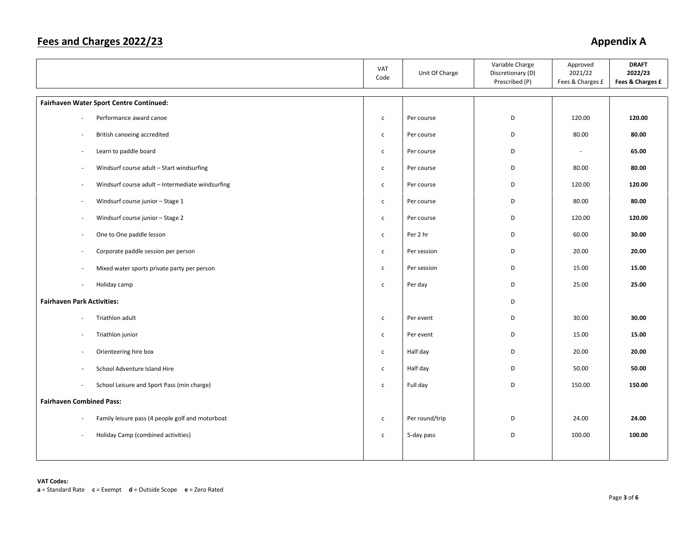### Fees and Charges 2022/23

# **Appendix A**

|                                                                              | VAT<br>Code  | Unit Of Charge | Variable Charge<br>Discretionary (D)<br>Prescribed (P) | Approved<br>2021/22<br>Fees & Charges £ | <b>DRAFT</b><br>2022/23<br>Fees & Charges £ |
|------------------------------------------------------------------------------|--------------|----------------|--------------------------------------------------------|-----------------------------------------|---------------------------------------------|
| <b>Fairhaven Water Sport Centre Continued:</b>                               |              |                |                                                        |                                         |                                             |
| Performance award canoe<br>$\sim$                                            | $\mathsf{C}$ | Per course     | D                                                      | 120.00                                  | 120.00                                      |
| British canoeing accredited<br>$\sim$                                        | $\mathsf{C}$ | Per course     | D                                                      | 80.00                                   | 80.00                                       |
| Learn to paddle board<br>$\overline{a}$                                      | $\mathsf{C}$ | Per course     | D                                                      | $\overline{\phantom{a}}$                | 65.00                                       |
| Windsurf course adult - Start windsurfing<br>$\overline{\phantom{a}}$        | $\mathsf{C}$ | Per course     | D                                                      | 80.00                                   | 80.00                                       |
| Windsurf course adult - Intermediate windsurfing                             | $\mathsf{C}$ | Per course     | D                                                      | 120.00                                  | 120.00                                      |
| Windsurf course junior - Stage 1<br>$\overline{\phantom{a}}$                 | $\mathsf{C}$ | Per course     | D                                                      | 80.00                                   | 80.00                                       |
| Windsurf course junior - Stage 2<br>$\overline{a}$                           | $\mathsf{C}$ | Per course     | D                                                      | 120.00                                  | 120.00                                      |
| One to One paddle lesson<br>÷,                                               | $\mathsf{C}$ | Per 2 hr       | D                                                      | 60.00                                   | 30.00                                       |
| Corporate paddle session per person<br>$\overline{\phantom{a}}$              | $\mathsf{C}$ | Per session    | D                                                      | 20.00                                   | 20.00                                       |
| Mixed water sports private party per person                                  | $\mathsf{c}$ | Per session    | D                                                      | 15.00                                   | 15.00                                       |
| Holiday camp<br>$\overline{\phantom{a}}$                                     | $\mathsf{C}$ | Per day        | D                                                      | 25.00                                   | 25.00                                       |
| <b>Fairhaven Park Activities:</b>                                            |              |                | D                                                      |                                         |                                             |
| Triathlon adult<br>$\overline{\phantom{a}}$                                  | $\mathsf{C}$ | Per event      | D                                                      | 30.00                                   | 30.00                                       |
| Triathlon junior<br>$\overline{a}$                                           | $\mathsf{C}$ | Per event      | D                                                      | 15.00                                   | 15.00                                       |
| Orienteering hire box<br>$\overline{\phantom{a}}$                            | $\mathsf{C}$ | Half day       | D                                                      | 20.00                                   | 20.00                                       |
| School Adventure Island Hire<br>$\overline{a}$                               | $\mathsf{C}$ | Half day       | D                                                      | 50.00                                   | 50.00                                       |
| School Leisure and Sport Pass (min charge)                                   | $\mathsf{c}$ | Full day       | D                                                      | 150.00                                  | 150.00                                      |
| <b>Fairhaven Combined Pass:</b>                                              |              |                |                                                        |                                         |                                             |
| Family leisure pass (4 people golf and motorboat<br>$\overline{\phantom{a}}$ | $\mathsf{C}$ | Per round/trip | D                                                      | 24.00                                   | 24.00                                       |
| Holiday Camp (combined activities)<br>٠                                      | $\mathsf{C}$ | 5-day pass     | D                                                      | 100.00                                  | 100.00                                      |
|                                                                              |              |                |                                                        |                                         |                                             |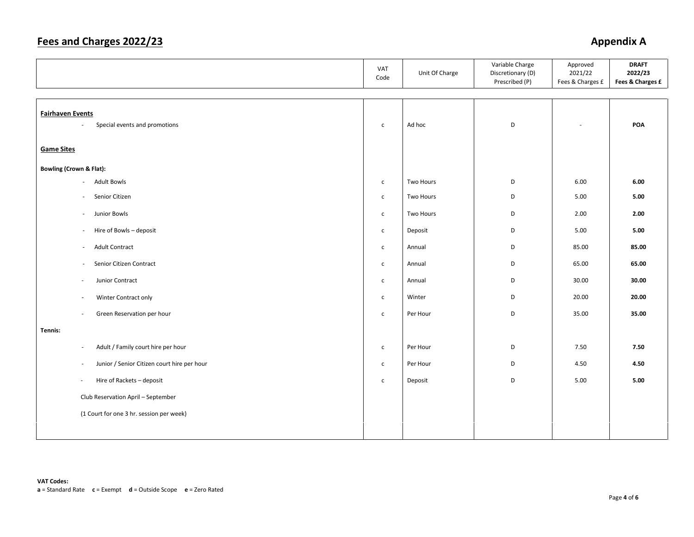### **Fees and Charges 2022/23** Appendix A

|                                                                                      | VAT<br>Code  | Unit Of Charge | Variable Charge<br>Discretionary (D)<br>Prescribed (P) | Approved<br>2021/22<br>Fees & Charges £ | <b>DRAFT</b><br>2022/23<br>Fees & Charges £ |
|--------------------------------------------------------------------------------------|--------------|----------------|--------------------------------------------------------|-----------------------------------------|---------------------------------------------|
| <b>Fairhaven Events</b><br>Special events and promotions<br>$\overline{\phantom{a}}$ |              | Ad hoc         | D                                                      |                                         | POA                                         |
| <b>Game Sites</b>                                                                    | $\mathsf{c}$ |                |                                                        |                                         |                                             |
| <b>Bowling (Crown &amp; Flat):</b>                                                   |              |                |                                                        |                                         |                                             |
| <b>Adult Bowls</b><br>$\sim$                                                         | $\mathsf{C}$ | Two Hours      | D                                                      | 6.00                                    | 6.00                                        |
| Senior Citizen<br>$\sim$                                                             | $\mathsf{C}$ | Two Hours      | D                                                      | 5.00                                    | 5.00                                        |
| Junior Bowls<br>$\overline{\phantom{a}}$                                             | $\mathsf{C}$ | Two Hours      | D                                                      | 2.00                                    | 2.00                                        |
| Hire of Bowls - deposit<br>$\overline{\phantom{a}}$                                  | $\mathsf{C}$ | Deposit        | D                                                      | 5.00                                    | 5.00                                        |
| <b>Adult Contract</b><br>$\sim$                                                      | $\mathsf{C}$ | Annual         | D                                                      | 85.00                                   | 85.00                                       |
| Senior Citizen Contract<br>$\sim$                                                    | $\mathsf{C}$ | Annual         | D                                                      | 65.00                                   | 65.00                                       |
| Junior Contract<br>$\overline{\phantom{a}}$                                          | $\mathsf{C}$ | Annual         | D                                                      | 30.00                                   | 30.00                                       |
| Winter Contract only<br>$\overline{\phantom{a}}$                                     | $\mathsf{C}$ | Winter         | D                                                      | 20.00                                   | 20.00                                       |
| Green Reservation per hour<br>$\overline{\phantom{a}}$                               | $\mathsf{c}$ | Per Hour       | D                                                      | 35.00                                   | 35.00                                       |
| Tennis:                                                                              |              |                |                                                        |                                         |                                             |
| Adult / Family court hire per hour<br>$\overline{\phantom{a}}$                       | $\mathsf{C}$ | Per Hour       | D                                                      | 7.50                                    | 7.50                                        |
| Junior / Senior Citizen court hire per hour<br>$\overline{\phantom{a}}$              | $\mathsf{C}$ | Per Hour       | D                                                      | 4.50                                    | 4.50                                        |
| Hire of Rackets - deposit<br>$\sim$                                                  | $\mathsf{C}$ | Deposit        | D                                                      | 5.00                                    | 5.00                                        |
| Club Reservation April - September                                                   |              |                |                                                        |                                         |                                             |
| (1 Court for one 3 hr. session per week)                                             |              |                |                                                        |                                         |                                             |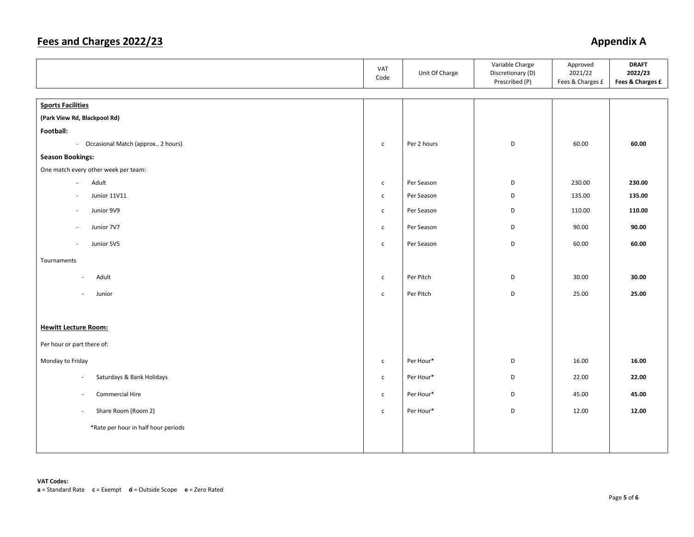### Fees and Charges 2022/23

# **Appendix A**

|                                                       | VAT<br>Code  | Unit Of Charge | Variable Charge<br>Discretionary (D)<br>Prescribed (P) | Approved<br>2021/22<br>Fees & Charges £ | <b>DRAFT</b><br>2022/23<br>Fees & Charges £ |
|-------------------------------------------------------|--------------|----------------|--------------------------------------------------------|-----------------------------------------|---------------------------------------------|
| <b>Sports Facilities</b>                              |              |                |                                                        |                                         |                                             |
| (Park View Rd, Blackpool Rd)                          |              |                |                                                        |                                         |                                             |
| Football:                                             |              |                |                                                        |                                         |                                             |
| - Occasional Match (approx 2 hours)                   | $\mathsf{c}$ | Per 2 hours    | D                                                      | 60.00                                   | 60.00                                       |
| <b>Season Bookings:</b>                               |              |                |                                                        |                                         |                                             |
| One match every other week per team:                  |              |                |                                                        |                                         |                                             |
| Adult<br>$\sim$                                       | $\mathsf{c}$ | Per Season     | D                                                      | 230.00                                  | 230.00                                      |
| Junior 11V11                                          | $\mathsf{c}$ | Per Season     | D                                                      | 135.00                                  | 135.00                                      |
| Junior 9V9<br>$\overline{\phantom{a}}$                | $\mathsf{C}$ | Per Season     | D                                                      | 110.00                                  | 110.00                                      |
|                                                       |              |                |                                                        |                                         |                                             |
| Junior 7V7<br>$\overline{\phantom{a}}$                | $\mathsf{C}$ | Per Season     | D                                                      | 90.00                                   | 90.00                                       |
| Junior 5V5<br>$\overline{\phantom{a}}$                | $\mathsf{c}$ | Per Season     | D                                                      | 60.00                                   | 60.00                                       |
| Tournaments                                           |              |                |                                                        |                                         |                                             |
| Adult<br>÷,                                           | $\mathsf{c}$ | Per Pitch      | D                                                      | 30.00                                   | 30.00                                       |
| Junior<br>$\sim$                                      | $\mathsf{c}$ | Per Pitch      | D                                                      | 25.00                                   | 25.00                                       |
|                                                       |              |                |                                                        |                                         |                                             |
| <b>Hewitt Lecture Room:</b>                           |              |                |                                                        |                                         |                                             |
| Per hour or part there of:                            |              |                |                                                        |                                         |                                             |
| Monday to Friday                                      | $\mathsf{c}$ | Per Hour*      | D                                                      | 16.00                                   | 16.00                                       |
| Saturdays & Bank Holidays<br>$\overline{\phantom{a}}$ | $\mathsf{c}$ | Per Hour*      | D                                                      | 22.00                                   | 22.00                                       |
| Commercial Hire<br>$\sim$                             | $\mathsf{c}$ | Per Hour*      | D                                                      | 45.00                                   | 45.00                                       |
| Share Room (Room 2)<br>$\overline{\phantom{a}}$       | $\mathsf{c}$ | Per Hour*      | D                                                      | 12.00                                   | 12.00                                       |
| *Rate per hour in half hour periods                   |              |                |                                                        |                                         |                                             |
|                                                       |              |                |                                                        |                                         |                                             |
|                                                       |              |                |                                                        |                                         |                                             |